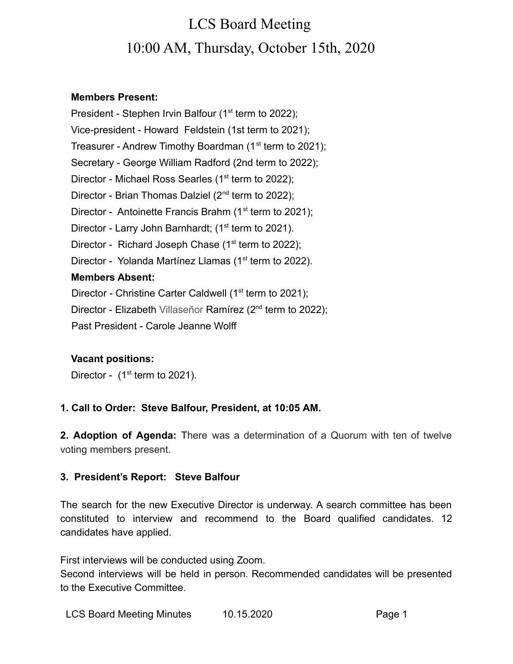# LCS Board Meeting 10:00 AM, Thursday, October 15th, 2020

### **Members Present:**

President - Stephen Irvin Balfour (1<sup>st</sup> term to 2022); Vice-president - Howard Feldstein (1st term to 2021); Treasurer - Andrew Timothy Boardman (1<sup>st</sup> term to 2021); Secretary - George William Radford (2nd term to 2022); Director - Michael Ross Searles (1<sup>st</sup> term to 2022); Director - Brian Thomas Dalziel (2<sup>nd</sup> term to 2022); Director - Antoinette Francis Brahm ( $1<sup>st</sup>$  term to 2021); Director - Larry John Barnhardt; (1<sup>st</sup> term to 2021). Director - Richard Joseph Chase  $(1<sup>st</sup>$  term to 2022); Director - Yolanda Martínez Llamas (1<sup>st</sup> term to 2022). **Members Absent:** Director - Christine Carter Caldwell ( $1<sup>st</sup>$  term to 2021); Director - Elizabeth Villaseñor Ramírez (2<sup>nd</sup> term to 2022);

Past President - Carole Jeanne Wolff

### **Vacant positions:**

Director -  $(1<sup>st</sup>$  term to 2021).

### **1. Call to Order: Steve Balfour, President, at 10:05 AM.**

**2. Adoption of Agenda:** There was a determination of a Quorum with ten of twelve voting members present.

### **3. President's Report: Steve Balfour**

The search for the new Executive Director is underway. A search committee has been constituted to interview and recommend to the Board qualified candidates. 12 candidates have applied.

First interviews will be conducted using Zoom.

Second interviews will be held in person. Recommended candidates will be presented to the Executive Committee.

LCS Board Meeting Minutes 10.15.2020 Page 1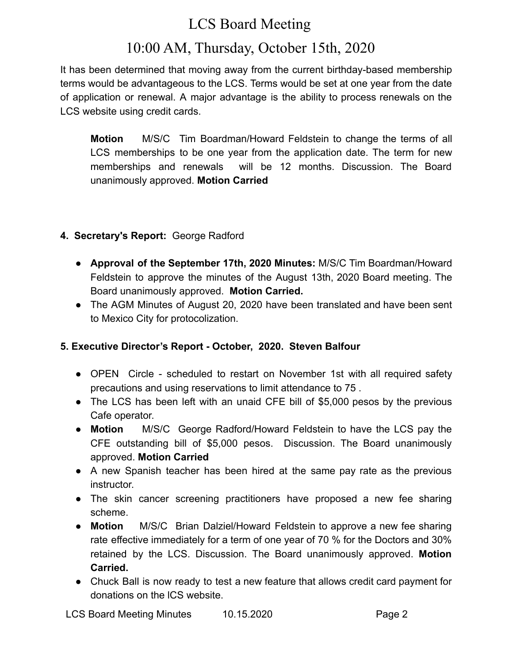# LCS Board Meeting

# 10:00 AM, Thursday, October 15th, 2020

It has been determined that moving away from the current birthday-based membership terms would be advantageous to the LCS. Terms would be set at one year from the date of application or renewal. A major advantage is the ability to process renewals on the LCS website using credit cards.

**Motion** M/S/C Tim Boardman/Howard Feldstein to change the terms of all LCS memberships to be one year from the application date. The term for new memberships and renewals will be 12 months. Discussion. The Board unanimously approved. **Motion Carried**

### **4. Secretary's Report:** George Radford

- **Approval of the September 17th, 2020 Minutes:** M/S/C Tim Boardman/Howard Feldstein to approve the minutes of the August 13th, 2020 Board meeting. The Board unanimously approved. **Motion Carried.**
- The AGM Minutes of August 20, 2020 have been translated and have been sent to Mexico City for protocolization.

### **5. Executive Director's Report - October, 2020. Steven Balfour**

- OPEN Circle scheduled to restart on November 1st with all required safety precautions and using reservations to limit attendance to 75 .
- The LCS has been left with an unaid CFE bill of \$5,000 pesos by the previous Cafe operator.
- **Motion** M/S/C George Radford/Howard Feldstein to have the LCS pay the CFE outstanding bill of \$5,000 pesos. Discussion. The Board unanimously approved. **Motion Carried**
- A new Spanish teacher has been hired at the same pay rate as the previous instructor.
- The skin cancer screening practitioners have proposed a new fee sharing scheme.
- **Motion** M/S/C Brian Dalziel/Howard Feldstein to approve a new fee sharing rate effective immediately for a term of one year of 70 % for the Doctors and 30% retained by the LCS. Discussion. The Board unanimously approved. **Motion Carried.**
- **●** Chuck Ball is now ready to test a new feature that allows credit card payment for donations on the lCS website.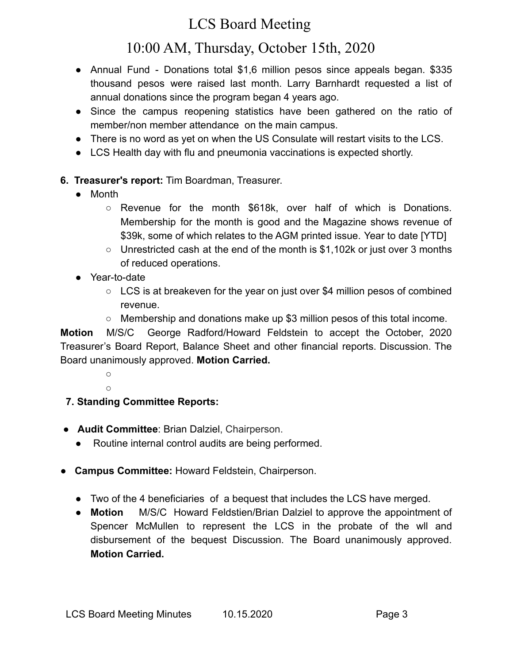# LCS Board Meeting

# 10:00 AM, Thursday, October 15th, 2020

- Annual Fund Donations total \$1,6 million pesos since appeals began. \$335 thousand pesos were raised last month. Larry Barnhardt requested a list of annual donations since the program began 4 years ago.
- Since the campus reopening statistics have been gathered on the ratio of member/non member attendance on the main campus.
- There is no word as yet on when the US Consulate will restart visits to the LCS.
- LCS Health day with flu and pneumonia vaccinations is expected shortly.

### **6. Treasurer's report:** Tim Boardman, Treasurer.

- **●** Month
	- **○** Revenue for the month \$618k, over half of which is Donations. Membership for the month is good and the Magazine shows revenue of \$39k, some of which relates to the AGM printed issue. Year to date [YTD]
	- **○** Unrestricted cash at the end of the month is \$1,102k or just over 3 months of reduced operations.
- **●** Year-to-date
	- LCS is at breakeven for the year on just over \$4 million pesos of combined revenue.
	- Membership and donations make up \$3 million pesos of this total income.

**Motion** M/S/C George Radford/Howard Feldstein to accept the October, 2020 Treasurer's Board Report, Balance Sheet and other financial reports. Discussion. The Board unanimously approved. **Motion Carried.**

> ○  $\cap$

### **7. Standing Committee Reports:**

- **Audit Committee**: Brian Dalziel, Chairperson.
	- Routine internal control audits are being performed.
- **Campus Committee:** Howard Feldstein, Chairperson.
	- Two of the 4 beneficiaries of a bequest that includes the LCS have merged.
	- **Motion** M/S/C Howard Feldstien/Brian Dalziel to approve the appointment of Spencer McMullen to represent the LCS in the probate of the wll and disbursement of the bequest Discussion. The Board unanimously approved. **Motion Carried.**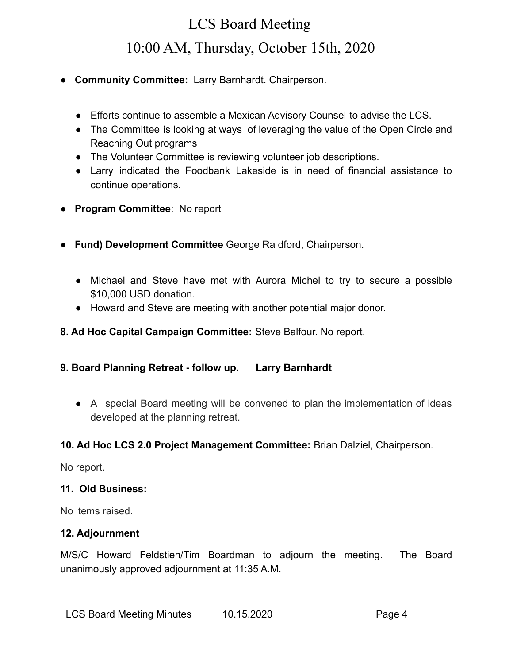# LCS Board Meeting 10:00 AM, Thursday, October 15th, 2020

- **Community Committee:** Larry Barnhardt. Chairperson.
	- Efforts continue to assemble a Mexican Advisory Counsel to advise the LCS.
	- The Committee is looking at ways of leveraging the value of the Open Circle and Reaching Out programs
	- The Volunteer Committee is reviewing volunteer job descriptions.
	- Larry indicated the Foodbank Lakeside is in need of financial assistance to continue operations.
- **Program Committee**: No report
- **Fund) Development Committee** George Ra dford, Chairperson.
	- Michael and Steve have met with Aurora Michel to try to secure a possible \$10,000 USD donation.
	- Howard and Steve are meeting with another potential major donor.
- **8. Ad Hoc Capital Campaign Committee:** Steve Balfour. No report.
- **9. Board Planning Retreat follow up. Larry Barnhardt**
	- A special Board meeting will be convened to plan the implementation of ideas developed at the planning retreat.

### **10. Ad Hoc LCS 2.0 Project Management Committee:** Brian Dalziel, Chairperson.

No report.

### **11. Old Business:**

No items raised.

### **12. Adjournment**

M/S/C Howard Feldstien/Tim Boardman to adjourn the meeting. The Board unanimously approved adjournment at 11:35 A.M.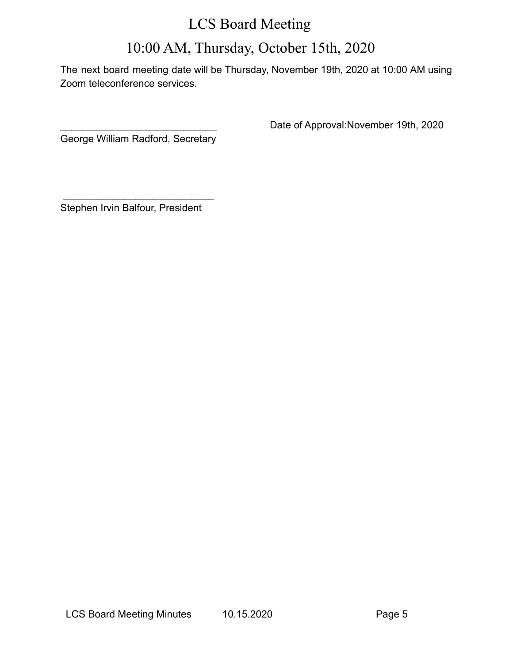## LCS Board Meeting

# 10:00 AM, Thursday, October 15th, 2020

The next board meeting date will be Thursday, November 19th, 2020 at 10:00 AM using Zoom teleconference services.

George William Radford, Secretary

Date of Approval:November 19th, 2020

Stephen Irvin Balfour, President

 $\overline{\phantom{a}}$  , where  $\overline{\phantom{a}}$  , where  $\overline{\phantom{a}}$  , where  $\overline{\phantom{a}}$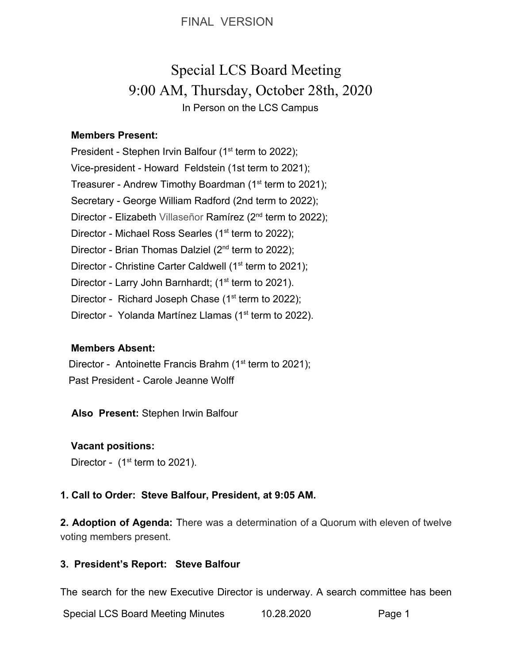FINAL VERSION

# Special LCS Board Meeting 9:00 AM, Thursday, October 28th, 2020 In Person on the LCS Campus

### **Members Present:**

President - Stephen Irvin Balfour (1<sup>st</sup> term to 2022); Vice-president - Howard Feldstein (1st term to 2021); Treasurer - Andrew Timothy Boardman (1<sup>st</sup> term to 2021); Secretary - George William Radford (2nd term to 2022); Director - Elizabeth Villaseñor Ramírez (2<sup>nd</sup> term to 2022); Director - Michael Ross Searles (1<sup>st</sup> term to 2022); Director - Brian Thomas Dalziel (2<sup>nd</sup> term to 2022); Director - Christine Carter Caldwell (1<sup>st</sup> term to 2021); Director - Larry John Barnhardt; (1<sup>st</sup> term to 2021). Director - Richard Joseph Chase  $(1<sup>st</sup>$  term to 2022); Director - Yolanda Martínez Llamas (1<sup>st</sup> term to 2022).

### **Members Absent:**

Director - Antoinette Francis Brahm (1<sup>st</sup> term to 2021); Past President - Carole Jeanne Wolff

 **Also Present:** Stephen Irwin Balfour

### **Vacant positions:**

Director -  $(1<sup>st</sup>$  term to 2021).

#### **1. Call to Order: Steve Balfour, President, at 9:05 AM.**

**2. Adoption of Agenda:** There was a determination of a Quorum with eleven of twelve voting members present.

### **3. President's Report: Steve Balfour**

The search for the new Executive Director is underway. A search committee has been

Special LCS Board Meeting Minutes 10.28.2020 Page 1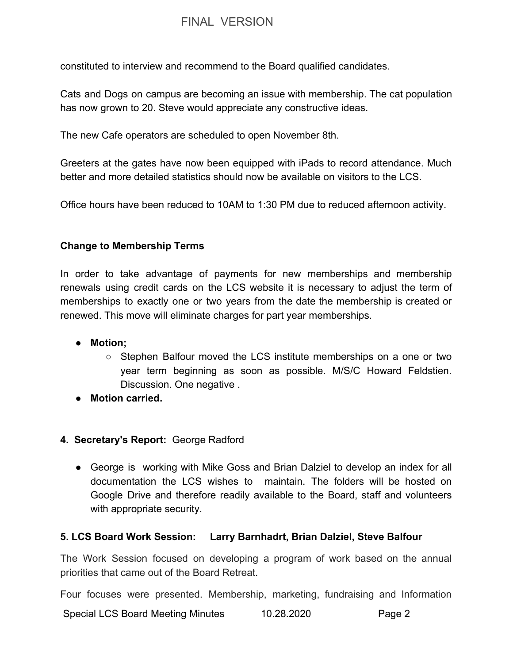### FINAL VERSION

constituted to interview and recommend to the Board qualified candidates.

Cats and Dogs on campus are becoming an issue with membership. The cat population has now grown to 20. Steve would appreciate any constructive ideas.

The new Cafe operators are scheduled to open November 8th.

Greeters at the gates have now been equipped with iPads to record attendance. Much better and more detailed statistics should now be available on visitors to the LCS.

Office hours have been reduced to 10AM to 1:30 PM due to reduced afternoon activity.

### **Change to Membership Terms**

In order to take advantage of payments for new memberships and membership renewals using credit cards on the LCS website it is necessary to adjust the term of memberships to exactly one or two years from the date the membership is created or renewed. This move will eliminate charges for part year memberships.

- **● Motion;**
	- Stephen Balfour moved the LCS institute memberships on a one or two year term beginning as soon as possible. M/S/C Howard Feldstien. Discussion. One negative .
- **Motion carried.**

### **4. Secretary's Report:** George Radford

● George is working with Mike Goss and Brian Dalziel to develop an index for all documentation the LCS wishes to maintain. The folders will be hosted on Google Drive and therefore readily available to the Board, staff and volunteers with appropriate security.

### **5. LCS Board Work Session: Larry Barnhadrt, Brian Dalziel, Steve Balfour**

The Work Session focused on developing a program of work based on the annual priorities that came out of the Board Retreat.

Four focuses were presented. Membership, marketing, fundraising and Information

Special LCS Board Meeting Minutes  $10.28.2020$  Page 2